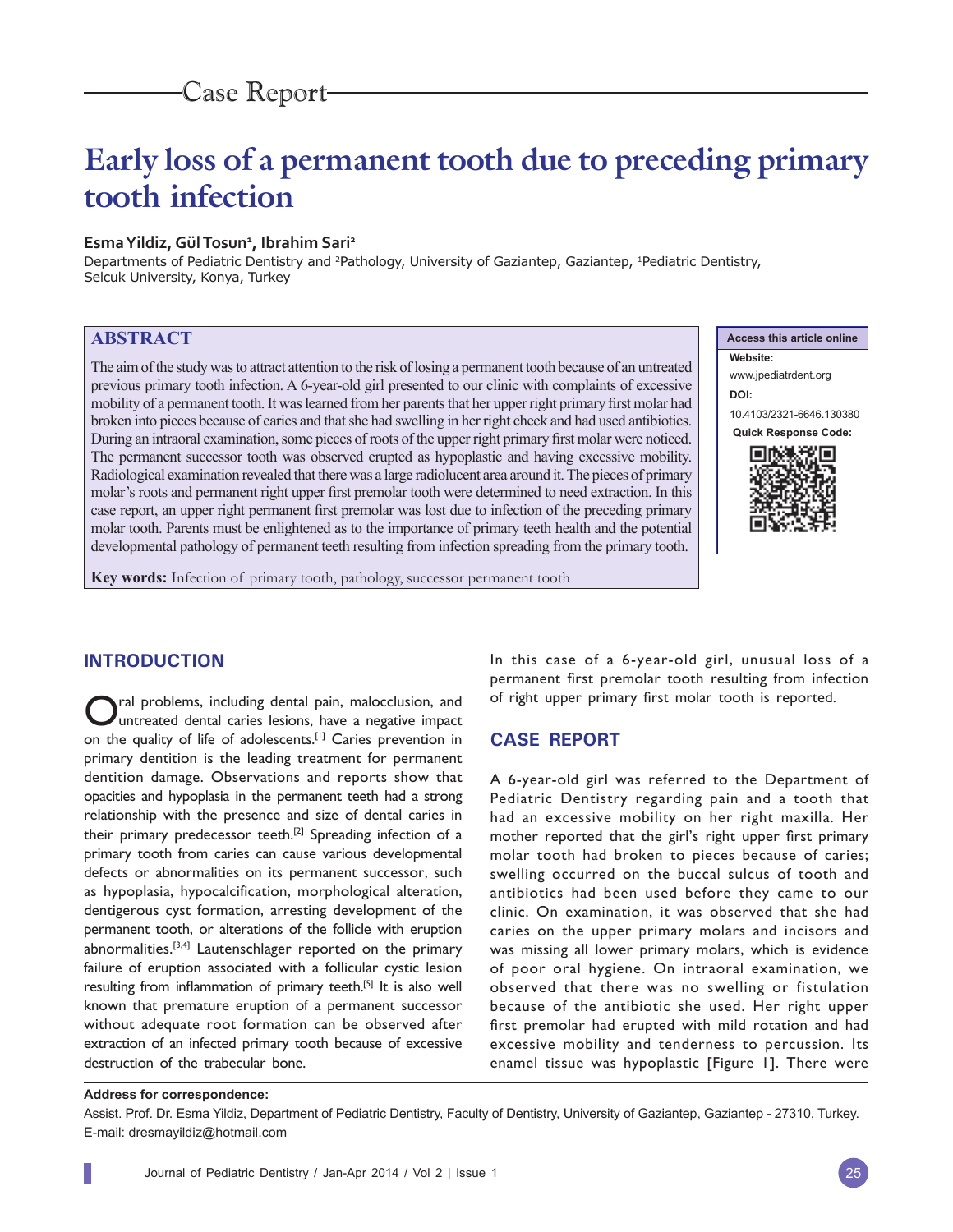# **Early loss of a permanent tooth due to preceding primary tooth infection**

## **Esma Yildiz, Gül Tosun1 , Ibrahim Sari2**

Departments of Pediatric Dentistry and <sup>2</sup>Pathology, University of Gaziantep, Gaziantep, <sup>1</sup>Pediatric Dentistry, Selcuk University, Konya, Turkey

# **ABSTRACT**

The aim of the study was to attract attention to the risk of losing a permanent tooth because of an untreated previous primary tooth infection. A 6-year-old girl presented to our clinic with complaints of excessive mobility of a permanent tooth. It was learned from her parents that her upper right primary first molar had broken into pieces because of caries and that she had swelling in her right cheek and had used antibiotics. During an intraoral examination, some pieces of roots of the upper right primary first molar were noticed. The permanent successor tooth was observed erupted as hypoplastic and having excessive mobility. Radiological examination revealed that there was a large radiolucent area around it. The pieces of primary molar's roots and permanent right upper first premolar tooth were determined to need extraction. In this case report, an upper right permanent first premolar was lost due to infection of the preceding primary molar tooth. Parents must be enlightened as to the importance of primary teeth health and the potential developmental pathology of permanent teeth resulting from infection spreading from the primary tooth.



**Key words:** Infection of primary tooth, pathology, successor permanent tooth

## **INTRODUCTION**

ral problems, including dental pain, malocclusion, and Iuntreated dental caries lesions, have a negative impact on the quality of life of adolescents.[1] Caries prevention in primary dentition is the leading treatment for permanent dentition damage. Observations and reports show that opacities and hypoplasia in the permanent teeth had a strong relationship with the presence and size of dental caries in their primary predecessor teeth.<sup>[2]</sup> Spreading infection of a primary tooth from caries can cause various developmental defects or abnormalities on its permanent successor, such as hypoplasia, hypocalcification, morphological alteration, dentigerous cyst formation, arresting development of the permanent tooth, or alterations of the follicle with eruption abnormalities.<sup>[3,4]</sup> Lautenschlager reported on the primary failure of eruption associated with a follicular cystic lesion resulting from inflammation of primary teeth.<sup>[5]</sup> It is also well known that premature eruption of a permanent successor without adequate root formation can be observed after extraction of an infected primary tooth because of excessive destruction of the trabecular bone.

In this case of a 6-year-old girl, unusual loss of a permanent first premolar tooth resulting from infection of right upper primary first molar tooth is reported.

#### **CASE REPORT**

A 6-year-old girl was referred to the Department of Pediatric Dentistry regarding pain and a tooth that had an excessive mobility on her right maxilla. Her mother reported that the girl's right upper first primary molar tooth had broken to pieces because of caries; swelling occurred on the buccal sulcus of tooth and antibiotics had been used before they came to our clinic. On examination, it was observed that she had caries on the upper primary molars and incisors and was missing all lower primary molars, which is evidence of poor oral hygiene. On intraoral examination, we observed that there was no swelling or fistulation because of the antibiotic she used. Her right upper first premolar had erupted with mild rotation and had excessive mobility and tenderness to percussion. Its enamel tissue was hypoplastic [Figure 1]. There were

#### **Address for correspondence:**

Assist. Prof. Dr. Esma Yildiz, Department of Pediatric Dentistry, Faculty of Dentistry, University of Gaziantep, Gaziantep - 27310, Turkey. E-mail: dresmayildiz@hotmail.com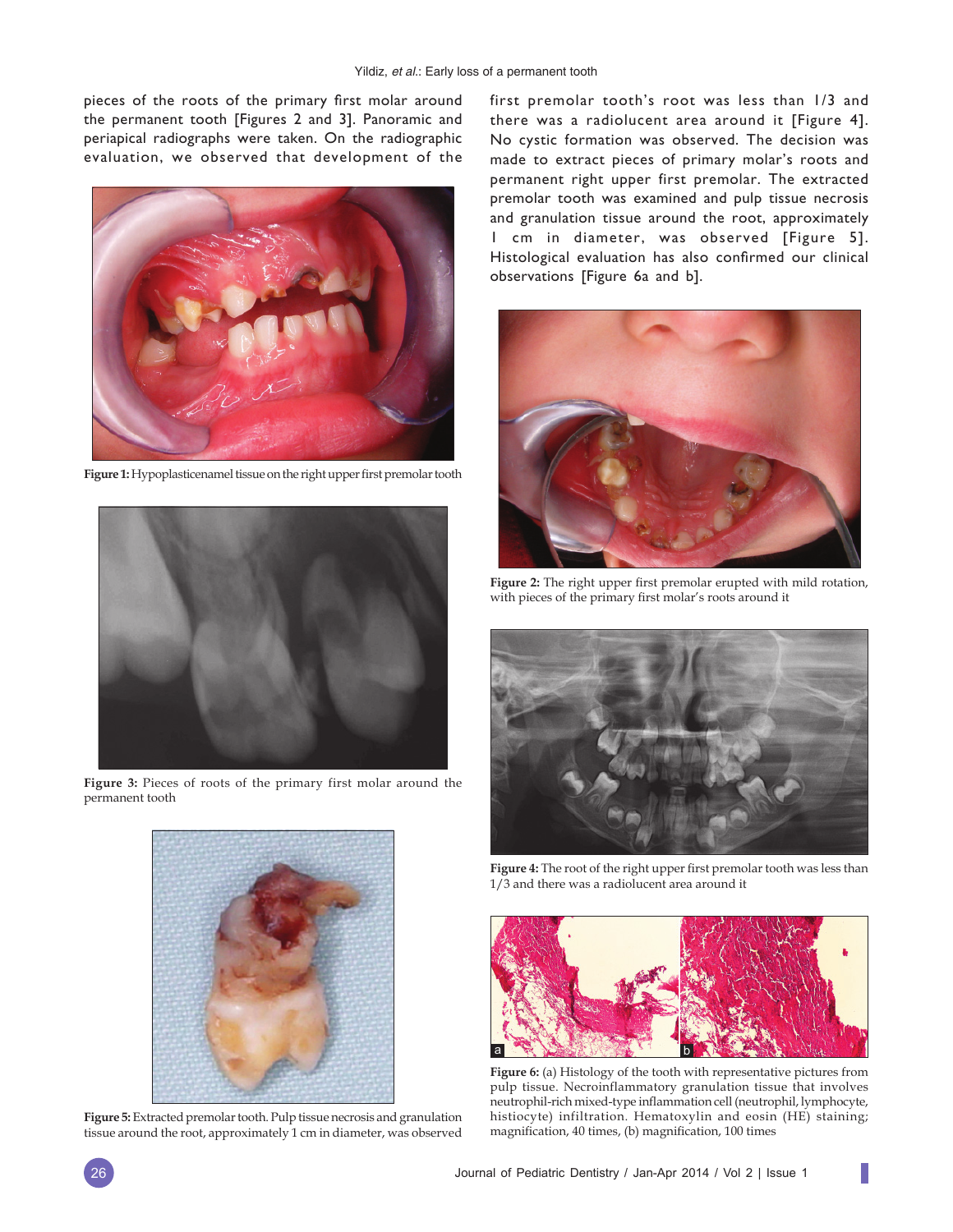pieces of the roots of the primary first molar around the permanent tooth [Figures 2 and 3]. Panoramic and periapical radiographs were taken. On the radiographic evaluation, we observed that development of the



Figure 1: Hypoplasticenamel tissue on the right upper first premolar tooth



**Figure 3:** Pieces of roots of the primary first molar around the permanent tooth



**Figure 5:** Extracted premolar tooth. Pulp tissue necrosis and granulation tissue around the root, approximately 1 cm in diameter, was observed first premolar tooth's root was less than 1/3 and there was a radiolucent area around it [Figure 4]. No cystic formation was observed. The decision was made to extract pieces of primary molar's roots and permanent right upper first premolar. The extracted premolar tooth was examined and pulp tissue necrosis and granulation tissue around the root, approximately 1 cm in diameter, was observed [Figure 5]. Histological evaluation has also confirmed our clinical observations [Figure 6a and b].



Figure 2: The right upper first premolar erupted with mild rotation, with pieces of the primary first molar's roots around it



Figure 4: The root of the right upper first premolar tooth was less than 1/3 and there was a radiolucent area around it



**Figure 6:** (a) Histology of the tooth with representative pictures from pulp tissue. Necroinflammatory granulation tissue that involves neutrophil-rich mixed-type inflammation cell (neutrophil, lymphocyte, histiocyte) infiltration. Hematoxylin and eosin (HE) staining; magnification, 40 times, (b) magnification, 100 times